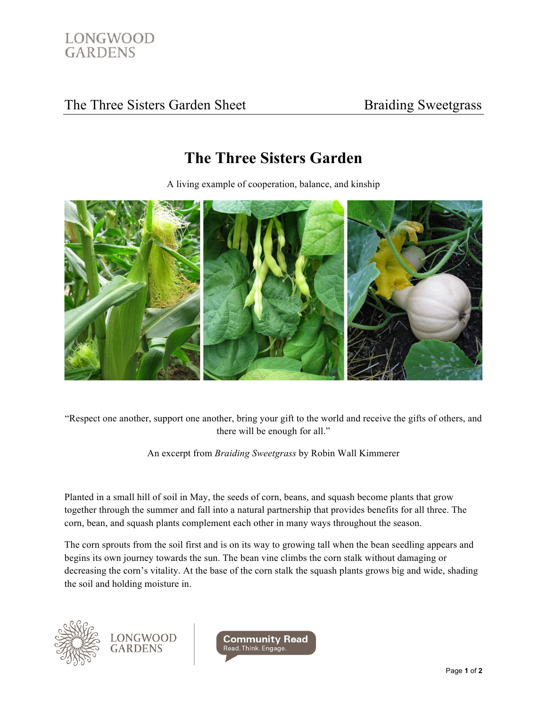

## The Three Sisters Garden Sheet Braiding Sweetgrass

## **The Three Sisters Garden**

A living example of cooperation, balance, and kinship



"Respect one another, support one another, bring your gift to the world and receive the gifts of others, and there will be enough for all."

An excerpt from *Braiding Sweetgrass* by Robin Wall Kimmerer

Planted in a small hill of soil in May, the seeds of corn, beans, and squash become plants that grow together through the summer and fall into a natural partnership that provides benefits for all three. The corn, bean, and squash plants complement each other in many ways throughout the season.

The corn sprouts from the soil first and is on its way to growing tall when the bean seedling appears and begins its own journey towards the sun. The bean vine climbs the corn stalk without damaging or decreasing the corn's vitality. At the base of the corn stalk the squash plants grows big and wide, shading the soil and holding moisture in.



LONGWOOD<br>GARDENS

**Community Read** Read. Think. Engage.